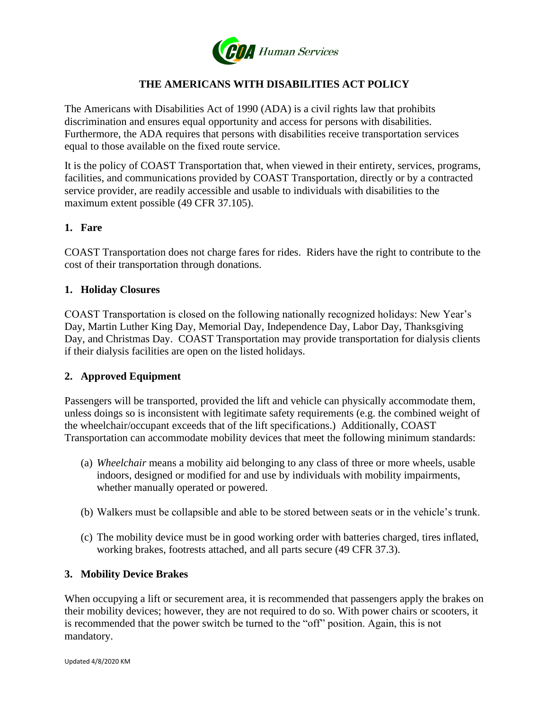

# **THE AMERICANS WITH DISABILITIES ACT POLICY**

The Americans with Disabilities Act of 1990 (ADA) is a civil rights law that prohibits discrimination and ensures equal opportunity and access for persons with disabilities. Furthermore, the ADA requires that persons with disabilities receive transportation services equal to those available on the fixed route service.

It is the policy of COAST Transportation that, when viewed in their entirety, services, programs, facilities, and communications provided by COAST Transportation, directly or by a contracted service provider, are readily accessible and usable to individuals with disabilities to the maximum extent possible (49 CFR 37.105).

### **1. Fare**

COAST Transportation does not charge fares for rides. Riders have the right to contribute to the cost of their transportation through donations.

#### **1. Holiday Closures**

COAST Transportation is closed on the following nationally recognized holidays: New Year's Day, Martin Luther King Day, Memorial Day, Independence Day, Labor Day, Thanksgiving Day, and Christmas Day. COAST Transportation may provide transportation for dialysis clients if their dialysis facilities are open on the listed holidays.

### **2. Approved Equipment**

Passengers will be transported, provided the lift and vehicle can physically accommodate them, unless doings so is inconsistent with legitimate safety requirements (e.g. the combined weight of the wheelchair/occupant exceeds that of the lift specifications.) Additionally, COAST Transportation can accommodate mobility devices that meet the following minimum standards:

- (a) *Wheelchair* means a mobility aid belonging to any class of three or more wheels, usable indoors, designed or modified for and use by individuals with mobility impairments, whether manually operated or powered.
- (b) Walkers must be collapsible and able to be stored between seats or in the vehicle's trunk.
- (c) The mobility device must be in good working order with batteries charged, tires inflated, working brakes, footrests attached, and all parts secure (49 CFR 37.3).

### **3. Mobility Device Brakes**

When occupying a lift or securement area, it is recommended that passengers apply the brakes on their mobility devices; however, they are not required to do so. With power chairs or scooters, it is recommended that the power switch be turned to the "off" position. Again, this is not mandatory.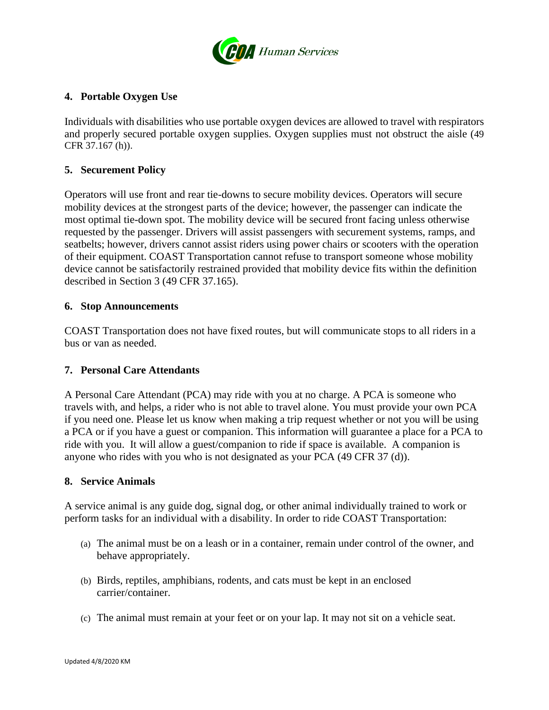

## **4. Portable Oxygen Use**

Individuals with disabilities who use portable oxygen devices are allowed to travel with respirators and properly secured portable oxygen supplies. Oxygen supplies must not obstruct the aisle (49 CFR 37.167 (h)).

### **5. Securement Policy**

Operators will use front and rear tie-downs to secure mobility devices. Operators will secure mobility devices at the strongest parts of the device; however, the passenger can indicate the most optimal tie-down spot. The mobility device will be secured front facing unless otherwise requested by the passenger. Drivers will assist passengers with securement systems, ramps, and seatbelts; however, drivers cannot assist riders using power chairs or scooters with the operation of their equipment. COAST Transportation cannot refuse to transport someone whose mobility device cannot be satisfactorily restrained provided that mobility device fits within the definition described in Section 3 (49 CFR 37.165).

### **6. Stop Announcements**

COAST Transportation does not have fixed routes, but will communicate stops to all riders in a bus or van as needed.

### **7. Personal Care Attendants**

A Personal Care Attendant (PCA) may ride with you at no charge. A PCA is someone who travels with, and helps, a rider who is not able to travel alone. You must provide your own PCA if you need one. Please let us know when making a trip request whether or not you will be using a PCA or if you have a guest or companion. This information will guarantee a place for a PCA to ride with you. It will allow a guest/companion to ride if space is available. A companion is anyone who rides with you who is not designated as your PCA (49 CFR 37 (d)).

#### **8. Service Animals**

A service animal is any guide dog, signal dog, or other animal individually trained to work or perform tasks for an individual with a disability. In order to ride COAST Transportation:

- (a) The animal must be on a leash or in a container, remain under control of the owner, and behave appropriately.
- (b) Birds, reptiles, amphibians, rodents, and cats must be kept in an enclosed carrier/container.
- (c) The animal must remain at your feet or on your lap. It may not sit on a vehicle seat.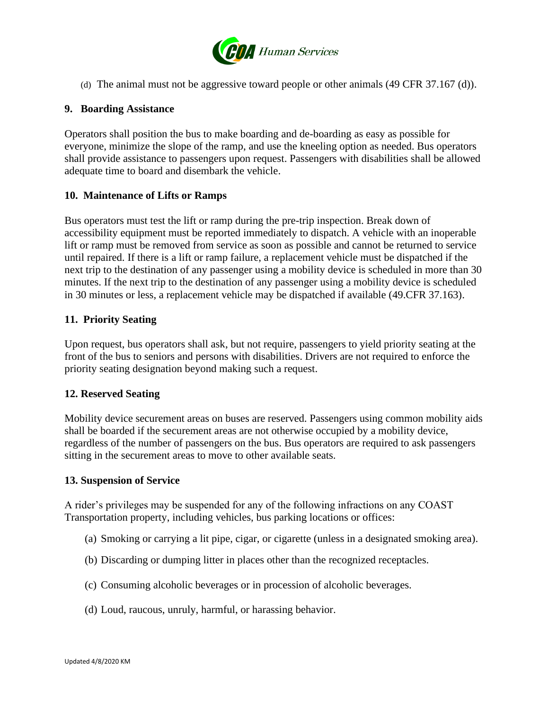

(d) The animal must not be aggressive toward people or other animals (49 CFR 37.167 (d)).

### **9. Boarding Assistance**

Operators shall position the bus to make boarding and de-boarding as easy as possible for everyone, minimize the slope of the ramp, and use the kneeling option as needed. Bus operators shall provide assistance to passengers upon request. Passengers with disabilities shall be allowed adequate time to board and disembark the vehicle.

### **10. Maintenance of Lifts or Ramps**

Bus operators must test the lift or ramp during the pre-trip inspection. Break down of accessibility equipment must be reported immediately to dispatch. A vehicle with an inoperable lift or ramp must be removed from service as soon as possible and cannot be returned to service until repaired. If there is a lift or ramp failure, a replacement vehicle must be dispatched if the next trip to the destination of any passenger using a mobility device is scheduled in more than 30 minutes. If the next trip to the destination of any passenger using a mobility device is scheduled in 30 minutes or less, a replacement vehicle may be dispatched if available (49.CFR 37.163).

### **11. Priority Seating**

Upon request, bus operators shall ask, but not require, passengers to yield priority seating at the front of the bus to seniors and persons with disabilities. Drivers are not required to enforce the priority seating designation beyond making such a request.

### **12. Reserved Seating**

Mobility device securement areas on buses are reserved. Passengers using common mobility aids shall be boarded if the securement areas are not otherwise occupied by a mobility device, regardless of the number of passengers on the bus. Bus operators are required to ask passengers sitting in the securement areas to move to other available seats.

#### **13. Suspension of Service**

A rider's privileges may be suspended for any of the following infractions on any COAST Transportation property, including vehicles, bus parking locations or offices:

- (a) Smoking or carrying a lit pipe, cigar, or cigarette (unless in a designated smoking area).
- (b) Discarding or dumping litter in places other than the recognized receptacles.
- (c) Consuming alcoholic beverages or in procession of alcoholic beverages.
- (d) Loud, raucous, unruly, harmful, or harassing behavior.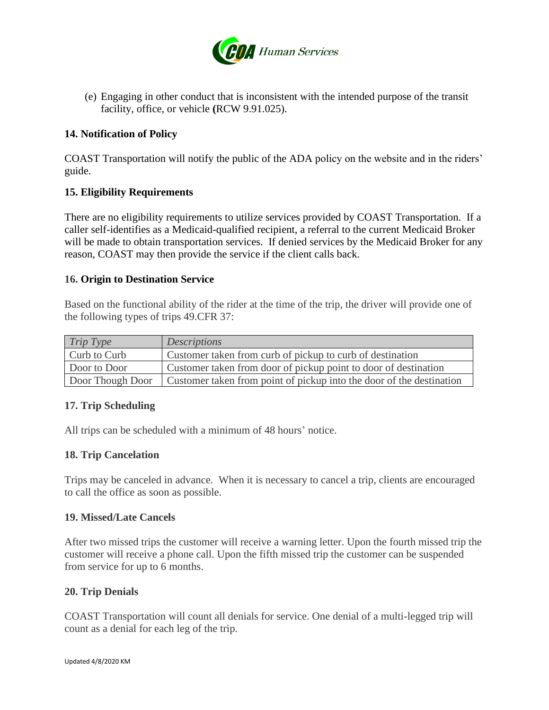

(e) Engaging in other conduct that is inconsistent with the intended purpose of the transit facility, office, or vehicle **(**RCW 9.91.025).

## **14. Notification of Policy**

COAST Transportation will notify the public of the ADA policy on the website and in the riders' guide.

## **15. Eligibility Requirements**

There are no eligibility requirements to utilize services provided by COAST Transportation. If a caller self-identifies as a Medicaid-qualified recipient, a referral to the current Medicaid Broker will be made to obtain transportation services. If denied services by the Medicaid Broker for any reason, COAST may then provide the service if the client calls back.

### **16. Origin to Destination Service**

Based on the functional ability of the rider at the time of the trip, the driver will provide one of the following types of trips 49.CFR 37:

| Trip Type        | <b>Descriptions</b>                                                  |
|------------------|----------------------------------------------------------------------|
| Curb to Curb     | Customer taken from curb of pickup to curb of destination            |
| Door to Door     | Customer taken from door of pickup point to door of destination      |
| Door Though Door | Customer taken from point of pickup into the door of the destination |

### **17. Trip Scheduling**

All trips can be scheduled with a minimum of 48 hours' notice.

### **18. Trip Cancelation**

Trips may be canceled in advance. When it is necessary to cancel a trip, clients are encouraged to call the office as soon as possible.

### **19. Missed/Late Cancels**

After two missed trips the customer will receive a warning letter. Upon the fourth missed trip the customer will receive a phone call. Upon the fifth missed trip the customer can be suspended from service for up to 6 months.

### **20. Trip Denials**

COAST Transportation will count all denials for service. One denial of a multi-legged trip will count as a denial for each leg of the trip.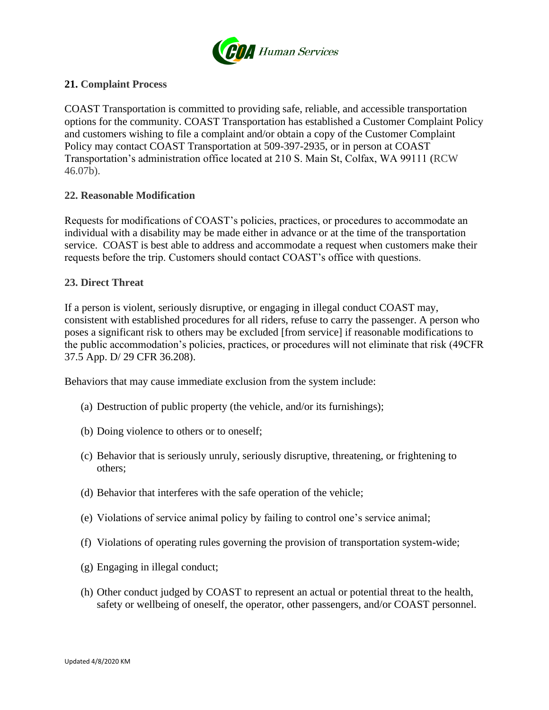

## **21. Complaint Process**

COAST Transportation is committed to providing safe, reliable, and accessible transportation options for the community. COAST Transportation has established a Customer Complaint Policy and customers wishing to file a complaint and/or obtain a copy of the Customer Complaint Policy may contact COAST Transportation at 509-397-2935, or in person at COAST Transportation's administration office located at 210 S. Main St, Colfax, WA 99111 (RCW 46.07b).

### **22. Reasonable Modification**

Requests for modifications of COAST's policies, practices, or procedures to accommodate an individual with a disability may be made either in advance or at the time of the transportation service. COAST is best able to address and accommodate a request when customers make their requests before the trip. Customers should contact COAST's office with questions.

### **23. Direct Threat**

If a person is violent, seriously disruptive, or engaging in illegal conduct COAST may, consistent with established procedures for all riders, refuse to carry the passenger. A person who poses a significant risk to others may be excluded [from service] if reasonable modifications to the public accommodation's policies, practices, or procedures will not eliminate that risk (49CFR 37.5 App. D/ 29 CFR 36.208).

Behaviors that may cause immediate exclusion from the system include:

- (a) Destruction of public property (the vehicle, and/or its furnishings);
- (b) Doing violence to others or to oneself;
- (c) Behavior that is seriously unruly, seriously disruptive, threatening, or frightening to others;
- (d) Behavior that interferes with the safe operation of the vehicle;
- (e) Violations of service animal policy by failing to control one's service animal;
- (f) Violations of operating rules governing the provision of transportation system-wide;
- (g) Engaging in illegal conduct;
- (h) Other conduct judged by COAST to represent an actual or potential threat to the health, safety or wellbeing of oneself, the operator, other passengers, and/or COAST personnel.